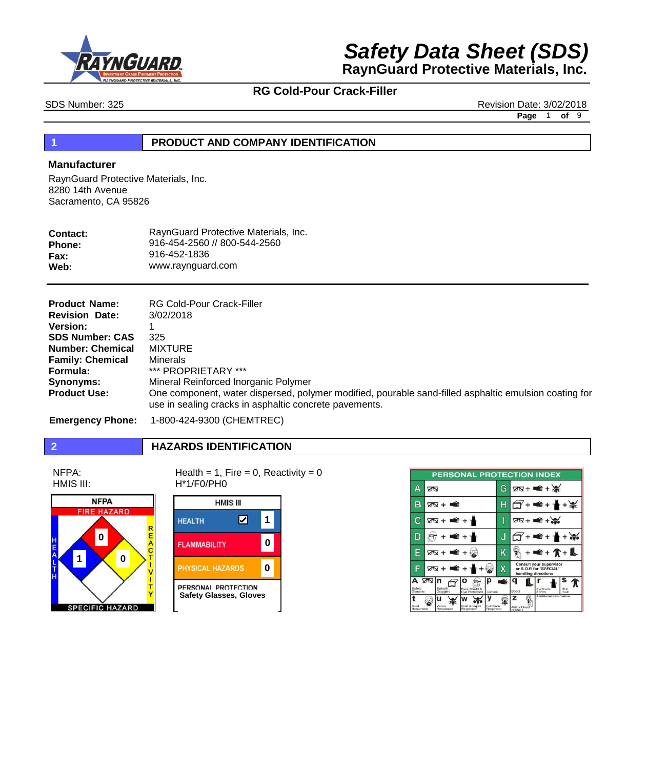



SDS Number: 325 Revision Date: 3/02/2018

**Page** 1 **of** 9

## **1 PRODUCT AND COMPANY IDENTIFICATION**

## **Manufacturer**

RaynGuard Protective Materials, Inc. 8280 14th Avenue Sacramento, CA 95826

| RaynGuard Protective Materials, Inc. |
|--------------------------------------|
| 916-454-2560 // 800-544-2560         |
| 916-452-1836                         |
| www.raynguard.com                    |
|                                      |

| <b>Product Name:</b>    | <b>RG Cold-Pour Crack-Filler</b>                                                                                                                                |
|-------------------------|-----------------------------------------------------------------------------------------------------------------------------------------------------------------|
| <b>Revision Date:</b>   | 3/02/2018                                                                                                                                                       |
| <b>Version:</b>         |                                                                                                                                                                 |
| <b>SDS Number: CAS</b>  | 325                                                                                                                                                             |
| <b>Number: Chemical</b> | MIXTURE                                                                                                                                                         |
| <b>Family: Chemical</b> | <b>Minerals</b>                                                                                                                                                 |
| Formula:                | *** PROPRIETARY ***                                                                                                                                             |
| Synonyms:               | Mineral Reinforced Inorganic Polymer                                                                                                                            |
| <b>Product Use:</b>     | One component, water dispersed, polymer modified, pourable sand-filled asphaltic emulsion coating for<br>use in sealing cracks in asphaltic concrete pavements. |

**Emergency Phone:** 1-800-424-9300 (CHEMTREC)

## **2 HAZARDS IDENTIFICATION**

NFPA: HMIS III:



Health = 1, Fire = 0, Reactivity =  $0$ H\*1/F0/PH0



|                        | PERSONAL PROTECTION INDEX                                                         |   |                                                                           |
|------------------------|-----------------------------------------------------------------------------------|---|---------------------------------------------------------------------------|
| Д                      | ØÑ                                                                                | G | $28 + 4 + 36$                                                             |
| B                      | $\sqrt{8} + \frac{3}{2}$                                                          | Н | $\epsilon$ +                                                              |
|                        | .€+<br>তা∾ +                                                                      |   | $\sqrt{8} + \frac{1}{2}$                                                  |
|                        | € +                                                                               | J | ≢ +                                                                       |
| F                      | $\sqrt{8} + \frac{2}{10} + \frac{1}{10}$                                          | Κ | $\bullet$ + $\uparrow$ + $\uparrow$                                       |
| F                      | ΔØ                                                                                | х | Consult your supervisor<br>or S.O.P. for "SPECIAL"<br>handling directions |
| А<br>Safety<br>Glasses | 2⊠ n<br>ρ<br>Solash<br>Face Shield &<br>Goggles<br>Eve Protection<br>Gloves       | ś | Q<br>Synthetic<br>Apron<br>Full<br>Boots<br>S <sub>1</sub>                |
| Dust<br>Respirator     | и<br>Full Face<br>Dust & Vapor<br>Vance<br>Respirator<br>Respirator<br>Respirator |   | Additional Information<br>z<br>Airline Hood<br>nr Massic                  |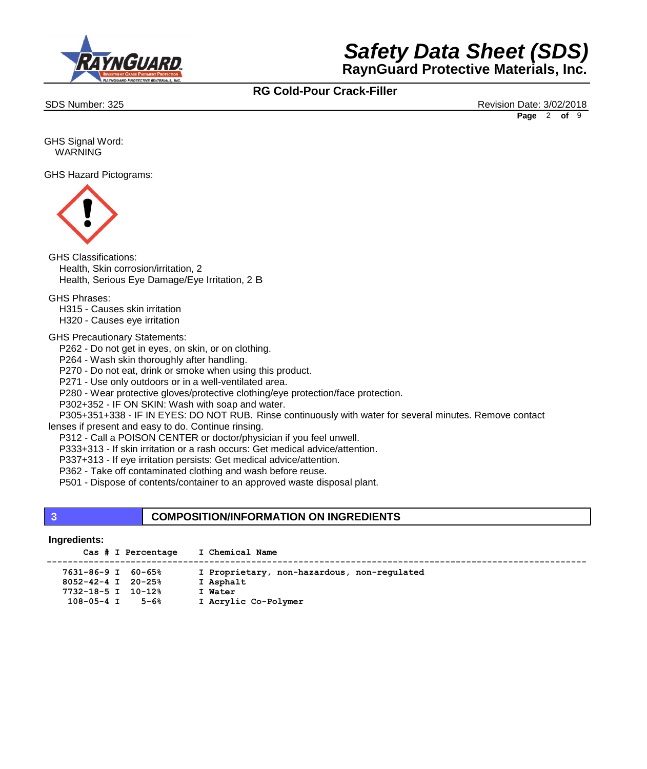



SDS Number: 325 Revision Date: 3/02/2018 **Page** 2 **of** 9

GHS Signal Word: WARNING

GHS Hazard Pictograms:



GHS Classifications: Health, Skin corrosion/irritation, 2 Health, Serious Eye Damage/Eye Irritation, 2 B

GHS Phrases:

H315 - Causes skin irritation

H320 - Causes eye irritation

#### GHS Precautionary Statements:

P262 - Do not get in eyes, on skin, or on clothing.

P264 - Wash skin thoroughly after handling.

P270 - Do not eat, drink or smoke when using this product.

P271 - Use only outdoors or in a well-ventilated area.

P280 - Wear protective gloves/protective clothing/eye protection/face protection.

P302+352 - IF ON SKIN: Wash with soap and water.

P305+351+338 - IF IN EYES: DO NOT RUB. Rinse continuously with water for several minutes. Remove contact

lenses if present and easy to do. Continue rinsing.

P312 - Call a POISON CENTER or doctor/physician if you feel unwell.

P333+313 - If skin irritation or a rash occurs: Get medical advice/attention.

P337+313 - If eye irritation persists: Get medical advice/attention.

P362 - Take off contaminated clothing and wash before reuse.

P501 - Dispose of contents/container to an approved waste disposal plant.

## **3 COMPOSITION/INFORMATION ON INGREDIENTS**

### **Ingredients:**

|  | Cas # I Percentage | I Chemical Name |  |
|--|--------------------|-----------------|--|
|  |                    |                 |  |

| 7631-86-9 I 60-65%       | I Proprietary, non-hazardous, non-requlated |
|--------------------------|---------------------------------------------|
| $8052 - 42 - 4$ I 20-25% | I Asphalt                                   |

**7732-18-5 I 10-12% I Water**

**108-05-4 I 5-6% I Acrylic Co-Polymer**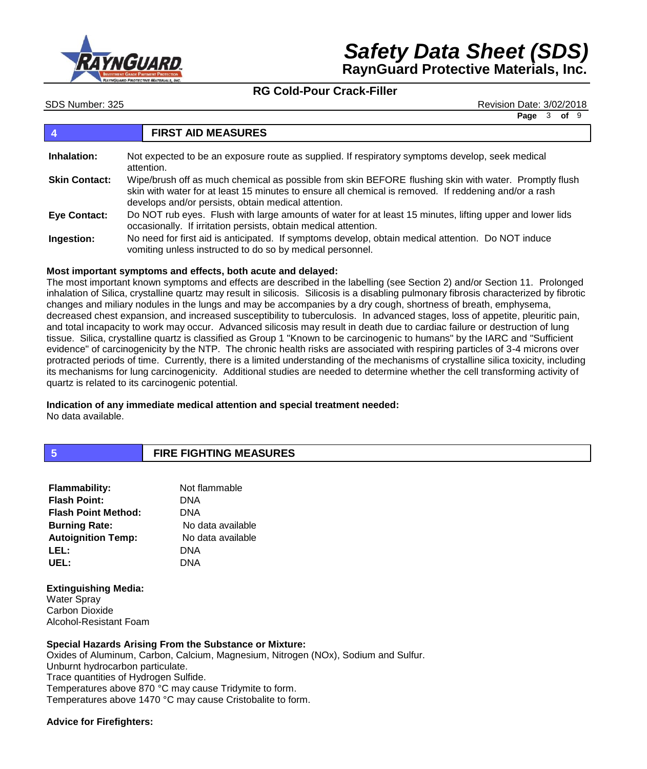

SDS Number: 325 Revision Date: 3/02/2018

**Page** 3 **of** 9

## **4 FIRST AID MEASURES**

| Inhalation:          | Not expected to be an exposure route as supplied. If respiratory symptoms develop, seek medical<br>attention.                                                                                                                                                         |
|----------------------|-----------------------------------------------------------------------------------------------------------------------------------------------------------------------------------------------------------------------------------------------------------------------|
| <b>Skin Contact:</b> | Wipe/brush off as much chemical as possible from skin BEFORE flushing skin with water. Promptly flush<br>skin with water for at least 15 minutes to ensure all chemical is removed. If reddening and/or a rash<br>develops and/or persists, obtain medical attention. |
| <b>Eye Contact:</b>  | Do NOT rub eyes. Flush with large amounts of water for at least 15 minutes, lifting upper and lower lids<br>occasionally. If irritation persists, obtain medical attention.                                                                                           |
| Ingestion:           | No need for first aid is anticipated. If symptoms develop, obtain medical attention. Do NOT induce<br>vomiting unless instructed to do so by medical personnel.                                                                                                       |

### **Most important symptoms and effects, both acute and delayed:**

The most important known symptoms and effects are described in the labelling (see Section 2) and/or Section 11. Prolonged inhalation of Silica, crystalline quartz may result in silicosis. Silicosis is a disabling pulmonary fibrosis characterized by fibrotic changes and miliary nodules in the lungs and may be accompanies by a dry cough, shortness of breath, emphysema, decreased chest expansion, and increased susceptibility to tuberculosis. In advanced stages, loss of appetite, pleuritic pain, and total incapacity to work may occur. Advanced silicosis may result in death due to cardiac failure or destruction of lung tissue. Silica, crystalline quartz is classified as Group 1 "Known to be carcinogenic to humans" by the IARC and "Sufficient evidence" of carcinogenicity by the NTP. The chronic health risks are associated with respiring particles of 3-4 microns over protracted periods of time. Currently, there is a limited understanding of the mechanisms of crystalline silica toxicity, including its mechanisms for lung carcinogenicity. Additional studies are needed to determine whether the cell transforming activity of quartz is related to its carcinogenic potential.

#### **Indication of any immediate medical attention and special treatment needed:** No data available.

## **5 FIRE FIGHTING MEASURES**

| <b>Flammability:</b>       | Not flammable     |
|----------------------------|-------------------|
| <b>Flash Point:</b>        | DNA               |
| <b>Flash Point Method:</b> | DNA               |
| <b>Burning Rate:</b>       | No data available |
| <b>Autoignition Temp:</b>  | No data available |
| LEL:                       | DNA               |
| UEL:                       | DNA               |
|                            |                   |

### **Extinguishing Media:**

Water Sprav Carbon Dioxide Alcohol-Resistant Foam

**Special Hazards Arising From the Substance or Mixture:** Oxides of Aluminum, Carbon, Calcium, Magnesium, Nitrogen (NOx), Sodium and Sulfur. Unburnt hydrocarbon particulate. Trace quantities of Hydrogen Sulfide. Temperatures above 870 °C may cause Tridymite to form. Temperatures above 1470 °C may cause Cristobalite to form.

### **Advice for Firefighters:**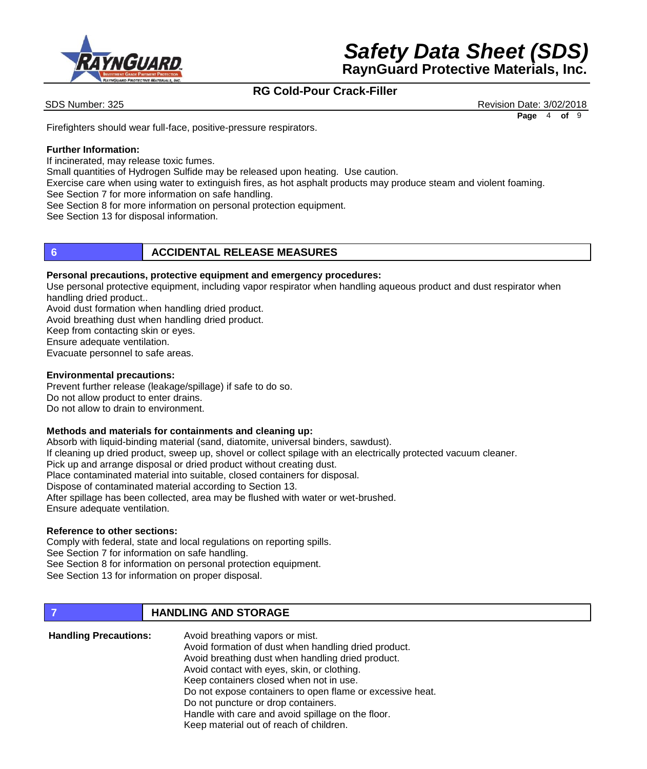

SDS Number: 325 Revision Date: 3/02/2018 **Page** 4 **of** 9

Firefighters should wear full-face, positive-pressure respirators.

## **Further Information:**

If incinerated, may release toxic fumes.

Small quantities of Hydrogen Sulfide may be released upon heating. Use caution.

Exercise care when using water to extinguish fires, as hot asphalt products may produce steam and violent foaming. See Section 7 for more information on safe handling.

See Section 8 for more information on personal protection equipment.

See Section 13 for disposal information.

## **6 ACCIDENTAL RELEASE MEASURES**

## **Personal precautions, protective equipment and emergency procedures:**

Use personal protective equipment, including vapor respirator when handling aqueous product and dust respirator when handling dried product..

Avoid dust formation when handling dried product.

Avoid breathing dust when handling dried product.

Keep from contacting skin or eyes.

Ensure adequate ventilation.

Evacuate personnel to safe areas.

### **Environmental precautions:**

Prevent further release (leakage/spillage) if safe to do so. Do not allow product to enter drains. Do not allow to drain to environment.

### **Methods and materials for containments and cleaning up:**

Absorb with liquid-binding material (sand, diatomite, universal binders, sawdust). If cleaning up dried product, sweep up, shovel or collect spilage with an electrically protected vacuum cleaner. Pick up and arrange disposal or dried product without creating dust. Place contaminated material into suitable, closed containers for disposal. Dispose of contaminated material according to Section 13. After spillage has been collected, area may be flushed with water or wet-brushed. Ensure adequate ventilation.

## **Reference to other sections:**

Comply with federal, state and local regulations on reporting spills.

See Section 7 for information on safe handling.

See Section 8 for information on personal protection equipment.

See Section 13 for information on proper disposal.

## *T* **HANDLING AND STORAGE**

| <b>Handling Precautions:</b> | Avoid breathing vapors or mist.                           |
|------------------------------|-----------------------------------------------------------|
|                              | Avoid formation of dust when handling dried product.      |
|                              | Avoid breathing dust when handling dried product.         |
|                              | Avoid contact with eyes, skin, or clothing.               |
|                              | Keep containers closed when not in use.                   |
|                              | Do not expose containers to open flame or excessive heat. |
|                              | Do not puncture or drop containers.                       |
|                              | Handle with care and avoid spillage on the floor.         |
|                              | Keep material out of reach of children.                   |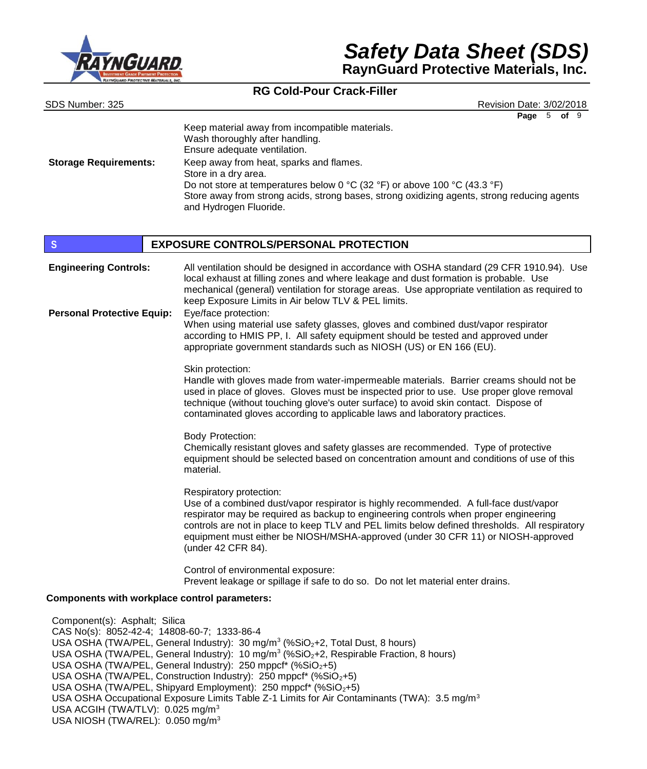

# *Safety Data Sheet (SDS)* **RaynGuard Protective Materials, Inc.**

## **RG Cold-Pour Crack-Filler**

| SDS Number: 325                                                              | Revision Date: 3/02/2018                                                                                                                                                                                                                                                                                                                                                                                             |
|------------------------------------------------------------------------------|----------------------------------------------------------------------------------------------------------------------------------------------------------------------------------------------------------------------------------------------------------------------------------------------------------------------------------------------------------------------------------------------------------------------|
| <b>Storage Requirements:</b>                                                 | Page $5$ of $9$<br>Keep material away from incompatible materials.<br>Wash thoroughly after handling.<br>Ensure adequate ventilation.<br>Keep away from heat, sparks and flames.<br>Store in a dry area.<br>Do not store at temperatures below 0 °C (32 °F) or above 100 °C (43.3 °F)<br>Store away from strong acids, strong bases, strong oxidizing agents, strong reducing agents<br>and Hydrogen Fluoride.       |
| S                                                                            | <b>EXPOSURE CONTROLS/PERSONAL PROTECTION</b>                                                                                                                                                                                                                                                                                                                                                                         |
| <b>Engineering Controls:</b>                                                 | All ventilation should be designed in accordance with OSHA standard (29 CFR 1910.94). Use<br>local exhaust at filling zones and where leakage and dust formation is probable. Use<br>mechanical (general) ventilation for storage areas. Use appropriate ventilation as required to<br>keep Exposure Limits in Air below TLV & PEL limits.                                                                           |
| <b>Personal Protective Equip:</b>                                            | Eye/face protection:<br>When using material use safety glasses, gloves and combined dust/vapor respirator<br>according to HMIS PP, I. All safety equipment should be tested and approved under<br>appropriate government standards such as NIOSH (US) or EN 166 (EU).                                                                                                                                                |
|                                                                              | Skin protection:<br>Handle with gloves made from water-impermeable materials. Barrier creams should not be<br>used in place of gloves. Gloves must be inspected prior to use. Use proper glove removal<br>technique (without touching glove's outer surface) to avoid skin contact. Dispose of<br>contaminated gloves according to applicable laws and laboratory practices.                                         |
|                                                                              | <b>Body Protection:</b><br>Chemically resistant gloves and safety glasses are recommended. Type of protective<br>equipment should be selected based on concentration amount and conditions of use of this<br>material.                                                                                                                                                                                               |
|                                                                              | Respiratory protection:<br>Use of a combined dust/vapor respirator is highly recommended. A full-face dust/vapor<br>respirator may be required as backup to engineering controls when proper engineering<br>controls are not in place to keep TLV and PEL limits below defined thresholds. All respiratory<br>equipment must either be NIOSH/MSHA-approved (under 30 CFR 11) or NIOSH-approved<br>(under 42 CFR 84). |
|                                                                              | Control of environmental exposure:<br>Prevent leakage or spillage if safe to do so. Do not let material enter drains.                                                                                                                                                                                                                                                                                                |
| Components with workplace control parameters:                                |                                                                                                                                                                                                                                                                                                                                                                                                                      |
| Component(s): Asphalt; Silica<br>CAS No(s): 8052-42-4; 14808-60-7; 1333-86-4 | USA OSHA (TWA/PEL, General Industry): 30 mg/m <sup>3</sup> (%SiO <sub>2</sub> +2, Total Dust, 8 hours)<br>USA OSHA (TWA/PEL, General Industry): 10 mg/m <sup>3</sup> (%SiO <sub>2</sub> +2, Respirable Fraction, 8 hours)<br>USA OSHA (TWA/PEL, General Industry): 250 mppcf* (%SiO <sub>2</sub> +5)<br>USA OSHA (TWA/PEL, Construction Industry): 250 mppcf* (%SiO <sub>2</sub> +5)                                 |

- USA OSHA (TWA/PEL, Shipyard Employment): 250 mppcf\* (%SiO<sub>2</sub>+5)
- USA OSHA Occupational Exposure Limits Table Z-1 Limits for Air Contaminants (TWA): 3.5 mg/m<sup>3</sup>
- USA ACGIH (TWA/TLV): 0.025 mg/m<sup>3</sup>
- USA NIOSH (TWA/REL): 0.050 mg/m<sup>3</sup>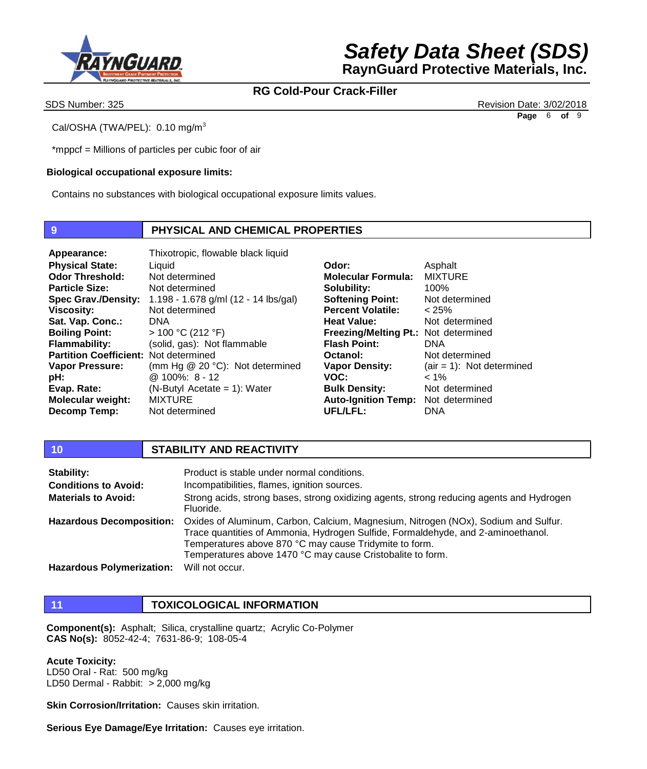

SDS Number: 325 Revision Date: 3/02/2018 **Page** 6 **of** 9

Cal/OSHA (TWA/PEL): 0.10 mg/m<sup>3</sup>

\*mppcf = Millions of particles per cubic foor of air

## **Biological occupational exposure limits:**

Contains no substances with biological occupational exposure limits values.

## **9 PHYSICAL AND CHEMICAL PROPERTIES**

**Appearance:** Thixotropic, flowable black liquid **Physical State: Odor Threshold: Particle Size: Viscosity: Sat. Vap. Conc.: Boiling Point: Flammability: Partition Coefficient:**  Not determined **Vapor Pressure: pH: Evap. Rate: Molecular weight: Decomp Temp:**

**Spec Grav./Density:**  1.198 - 1.678 g/ml (12 - 14 lbs/gal) Liquid Not determined Not determined Not determined DNA > 100 °C (212 °F) (solid, gas): Not flammable (mm Hg @ 20 °C): Not determined @ 100%: 8 - 12 (N-Butyl Acetate = 1): Water MIXTURE Not determined

**Odor: Molecular Formula: Solubility: Softening Point: Percent Volatile: Heat Value: Freezing/Melting Pt.:**  Not determined **Flash Point: Octanol: Vapor Density: VOC: Bulk Density: Auto-Ignition Temp: UFL/LFL:** Asphalt MIXTURE 100% Not determined  $< 25%$ Not determined DNA Not determined  $(air = 1)$ : Not determined  $< 1\%$ Not determined Not determined DNA

### **10 STABILITY AND REACTIVITY**

| Stability:                       | Product is stable under normal conditions.                                                                                                                                                                                                                                                     |
|----------------------------------|------------------------------------------------------------------------------------------------------------------------------------------------------------------------------------------------------------------------------------------------------------------------------------------------|
| <b>Conditions to Avoid:</b>      | Incompatibilities, flames, ignition sources.                                                                                                                                                                                                                                                   |
| <b>Materials to Avoid:</b>       | Strong acids, strong bases, strong oxidizing agents, strong reducing agents and Hydrogen<br>Fluoride.                                                                                                                                                                                          |
| <b>Hazardous Decomposition:</b>  | Oxides of Aluminum, Carbon, Calcium, Magnesium, Nitrogen (NOx), Sodium and Sulfur.<br>Trace quantities of Ammonia, Hydrogen Sulfide, Formaldehyde, and 2-aminoethanol.<br>Temperatures above 870 °C may cause Tridymite to form.<br>Temperatures above 1470 °C may cause Cristobalite to form. |
| <b>Hazardous Polymerization:</b> | Will not occur.                                                                                                                                                                                                                                                                                |

## **11 TOXICOLOGICAL INFORMATION**

**Component(s):** Asphalt; Silica, crystalline quartz; Acrylic Co-Polymer **CAS No(s):** 8052-42-4; 7631-86-9; 108-05-4

### **Acute Toxicity:**

LD50 Oral - Rat: 500 mg/kg LD50 Dermal - Rabbit: > 2,000 mg/kg

**Skin Corrosion/Irritation:** Causes skin irritation.

**Serious Eye Damage/Eye Irritation:** Causes eye irritation.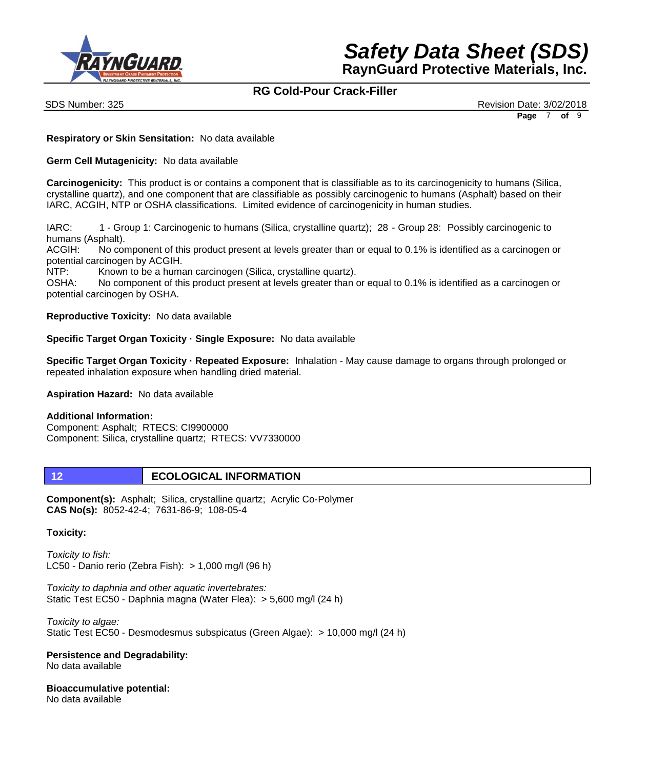



SDS Number: 325 Revision Date: 3/02/2018 **Page** 7 **of** 9

**Respiratory or Skin Sensitation:** No data available

**Germ Cell Mutagenicity:** No data available

**Carcinogenicity:** This product is or contains a component that is classifiable as to its carcinogenicity to humans (Silica, crystalline quartz), and one component that are classifiable as possibly carcinogenic to humans (Asphalt) based on their IARC, ACGIH, NTP or OSHA classifications. Limited evidence of carcinogenicity in human studies.

IARC: 1 - Group 1: Carcinogenic to humans (Silica, crystalline quartz); 28 - Group 28: Possibly carcinogenic to humans (Asphalt).

ACGIH: No component of this product present at levels greater than or equal to 0.1% is identified as a carcinogen or potential carcinogen by ACGIH.

NTP: Known to be a human carcinogen (Silica, crystalline quartz).

OSHA: No component of this product present at levels greater than or equal to 0.1% is identified as a carcinogen or potential carcinogen by OSHA.

**Reproductive Toxicity:** No data available

**Specific Target Organ Toxicity · Single Exposure:** No data available

**Specific Target Organ Toxicity · Repeated Exposure:** Inhalation - May cause damage to organs through prolonged or repeated inhalation exposure when handling dried material.

**Aspiration Hazard:** No data available

### **Additional Information:**

Component: Asphalt; RTECS: CI9900000 Component: Silica, crystalline quartz; RTECS: VV7330000

## **12 ECOLOGICAL INFORMATION**

**Component(s):** Asphalt; Silica, crystalline quartz; Acrylic Co-Polymer **CAS No(s):** 8052-42-4; 7631-86-9; 108-05-4

### **Toxicity:**

*Toxicity to fish:* LC50 - Danio rerio (Zebra Fish): > 1,000 mg/l (96 h)

*Toxicity to daphnia and other aquatic invertebrates:* Static Test EC50 - Daphnia magna (Water Flea): > 5,600 mg/l (24 h)

*Toxicity to algae:* Static Test EC50 - Desmodesmus subspicatus (Green Algae): > 10,000 mg/l (24 h)

**Persistence and Degradability:** No data available

**Bioaccumulative potential:** No data available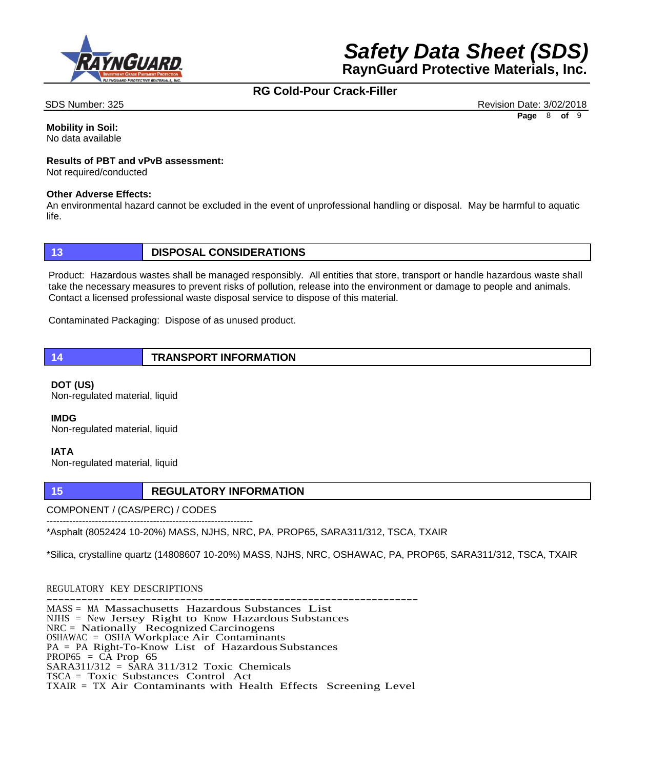



SDS Number: 325 Revision Date: 3/02/2018 **Page** 8 **of** 9

**Mobility in Soil:** No data available

## **Results of PBT and vPvB assessment:**

Not required/conducted

#### **Other Adverse Effects:**

An environmental hazard cannot be excluded in the event of unprofessional handling or disposal. May be harmful to aquatic life.

## **13 DISPOSAL CONSIDERATIONS**

Product: Hazardous wastes shall be managed responsibly. All entities that store, transport or handle hazardous waste shall take the necessary measures to prevent risks of pollution, release into the environment or damage to people and animals. Contact a licensed professional waste disposal service to dispose of this material.

Contaminated Packaging: Dispose of as unused product.

**14 TRANSPORT INFORMATION**

**DOT (US)** Non-regulated material, liquid

**IMDG** Non-regulated material, liquid

### **IATA**

Non-regulated material, liquid

## **15 REGULATORY INFORMATION**

COMPONENT / (CAS/PERC) / CODES

---------------------------------------------------------------- \*Asphalt (8052424 10-20%) MASS, NJHS, NRC, PA, PROP65, SARA311/312, TSCA, TXAIR

\*Silica, crystalline quartz (14808607 10-20%) MASS, NJHS, NRC, OSHAWAC, PA, PROP65, SARA311/312, TSCA, TXAIR

REGULATORY KEY DESCRIPTIONS ---------------------------------------------------------------- MASS = MA Massachusetts Hazardous Substances List NJHS = New Jersey Right to Know Hazardous Substances NRC = Nationally Recognized Carcinogens OSHAWAC = OSHA Workplace Air Contaminants PA = PA Right-To-Know List of Hazardous Substances PROP65 =  $\overrightarrow{CA}$  Prop 65  $SARA311/312 = SARA311/312$  Toxic Chemicals TSCA = Toxic Substances Control Act TXAIR = TX Air Contaminants with Health Effects Screening Level